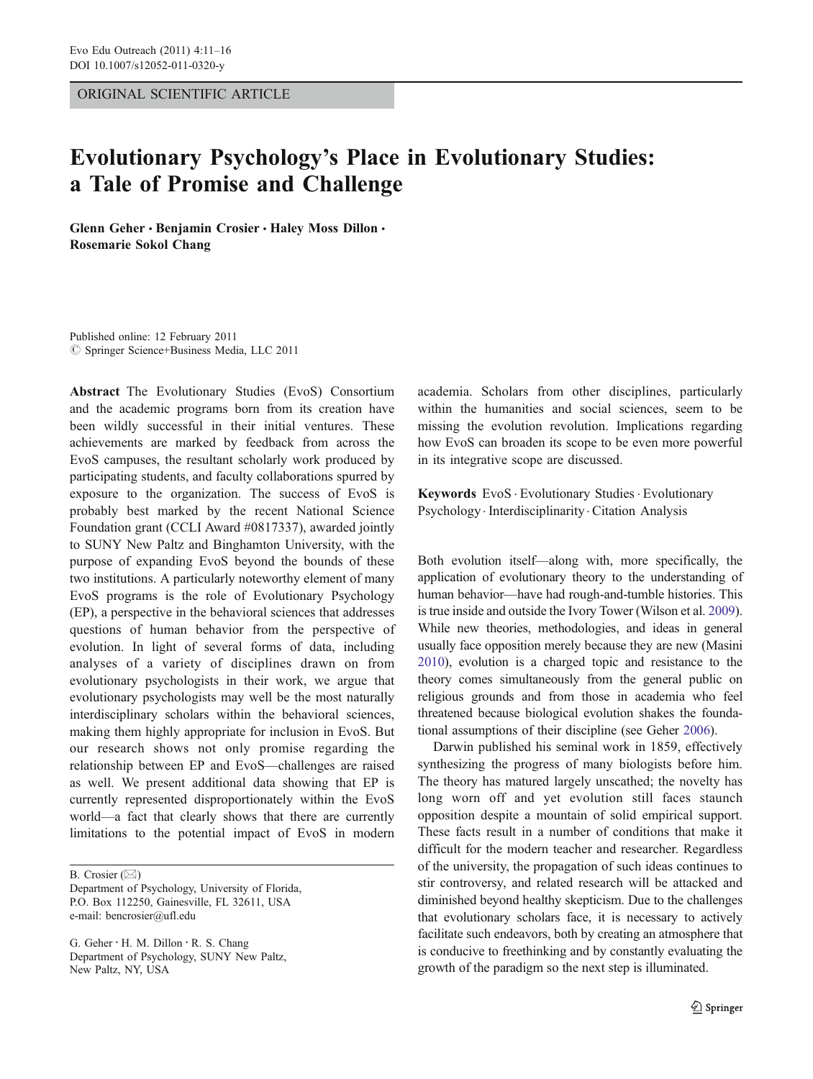ORIGINAL SCIENTIFIC ARTICLE

# Evolutionary Psychology's Place in Evolutionary Studies: a Tale of Promise and Challenge

Glenn Geher · Benjamin Crosier · Haley Moss Dillon · Rosemarie Sokol Chang

Published online: 12 February 2011  $\oslash$  Springer Science+Business Media, LLC 2011

Abstract The Evolutionary Studies (EvoS) Consortium and the academic programs born from its creation have been wildly successful in their initial ventures. These achievements are marked by feedback from across the EvoS campuses, the resultant scholarly work produced by participating students, and faculty collaborations spurred by exposure to the organization. The success of EvoS is probably best marked by the recent National Science Foundation grant (CCLI Award #0817337), awarded jointly to SUNY New Paltz and Binghamton University, with the purpose of expanding EvoS beyond the bounds of these two institutions. A particularly noteworthy element of many EvoS programs is the role of Evolutionary Psychology (EP), a perspective in the behavioral sciences that addresses questions of human behavior from the perspective of evolution. In light of several forms of data, including analyses of a variety of disciplines drawn on from evolutionary psychologists in their work, we argue that evolutionary psychologists may well be the most naturally interdisciplinary scholars within the behavioral sciences, making them highly appropriate for inclusion in EvoS. But our research shows not only promise regarding the relationship between EP and EvoS—challenges are raised as well. We present additional data showing that EP is currently represented disproportionately within the EvoS world—a fact that clearly shows that there are currently limitations to the potential impact of EvoS in modern

B. Crosier  $(\boxtimes)$ 

G. Geher : H. M. Dillon : R. S. Chang Department of Psychology, SUNY New Paltz, New Paltz, NY, USA

academia. Scholars from other disciplines, particularly within the humanities and social sciences, seem to be missing the evolution revolution. Implications regarding how EvoS can broaden its scope to be even more powerful in its integrative scope are discussed.

Keywords EvoS · Evolutionary Studies · Evolutionary Psychology. Interdisciplinarity. Citation Analysis

Both evolution itself—along with, more specifically, the application of evolutionary theory to the understanding of human behavior—have had rough-and-tumble histories. This is true inside and outside the Ivory Tower (Wilson et al. [2009\)](#page-5-0). While new theories, methodologies, and ideas in general usually face opposition merely because they are new (Masini [2010\)](#page-5-0), evolution is a charged topic and resistance to the theory comes simultaneously from the general public on religious grounds and from those in academia who feel threatened because biological evolution shakes the foundational assumptions of their discipline (see Geher [2006](#page-5-0)).

Darwin published his seminal work in 1859, effectively synthesizing the progress of many biologists before him. The theory has matured largely unscathed; the novelty has long worn off and yet evolution still faces staunch opposition despite a mountain of solid empirical support. These facts result in a number of conditions that make it difficult for the modern teacher and researcher. Regardless of the university, the propagation of such ideas continues to stir controversy, and related research will be attacked and diminished beyond healthy skepticism. Due to the challenges that evolutionary scholars face, it is necessary to actively facilitate such endeavors, both by creating an atmosphere that is conducive to freethinking and by constantly evaluating the growth of the paradigm so the next step is illuminated.

Department of Psychology, University of Florida, P.O. Box 112250, Gainesville, FL 32611, USA e-mail: bencrosier@ufl.edu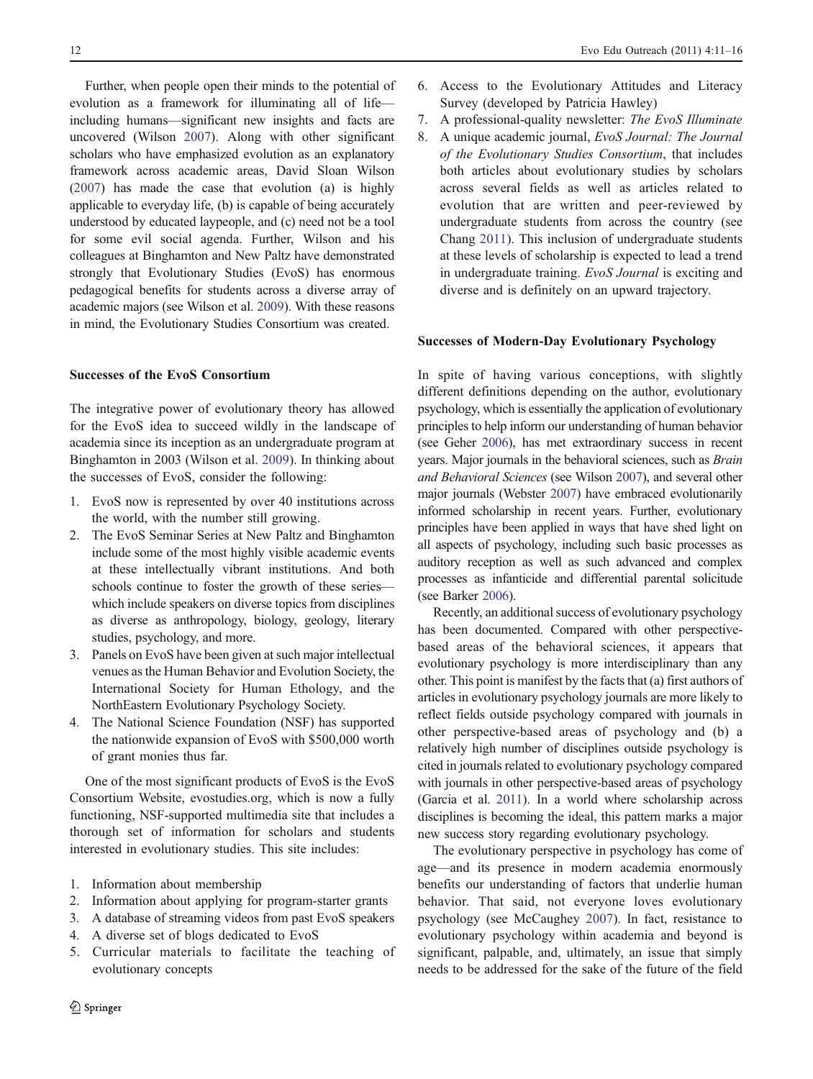Further, when people open their minds to the potential of evolution as a framework for illuminating all of life including humans—significant new insights and facts are uncovered (Wilson [2007\)](#page-5-0). Along with other significant scholars who have emphasized evolution as an explanatory framework across academic areas, David Sloan Wilson [\(2007\)](#page-5-0) has made the case that evolution (a) is highly applicable to everyday life, (b) is capable of being accurately understood by educated laypeople, and (c) need not be a tool for some evil social agenda. Further, Wilson and his colleagues at Binghamton and New Paltz have demonstrated strongly that Evolutionary Studies (EvoS) has enormous pedagogical benefits for students across a diverse array of academic majors (see Wilson et al. [2009](#page-5-0)). With these reasons in mind, the Evolutionary Studies Consortium was created.

# Successes of the EvoS Consortium

The integrative power of evolutionary theory has allowed for the EvoS idea to succeed wildly in the landscape of academia since its inception as an undergraduate program at Binghamton in 2003 (Wilson et al. [2009](#page-5-0)). In thinking about the successes of EvoS, consider the following:

- 1. EvoS now is represented by over 40 institutions across the world, with the number still growing.
- 2. The EvoS Seminar Series at New Paltz and Binghamton include some of the most highly visible academic events at these intellectually vibrant institutions. And both schools continue to foster the growth of these series which include speakers on diverse topics from disciplines as diverse as anthropology, biology, geology, literary studies, psychology, and more.
- 3. Panels on EvoS have been given at such major intellectual venues as the Human Behavior and Evolution Society, the International Society for Human Ethology, and the NorthEastern Evolutionary Psychology Society.
- 4. The National Science Foundation (NSF) has supported the nationwide expansion of EvoS with \$500,000 worth of grant monies thus far.

One of the most significant products of EvoS is the EvoS Consortium Website, evostudies.org, which is now a fully functioning, NSF-supported multimedia site that includes a thorough set of information for scholars and students interested in evolutionary studies. This site includes:

- 1. Information about membership
- 2. Information about applying for program-starter grants
- 3. A database of streaming videos from past EvoS speakers
- 4. A diverse set of blogs dedicated to EvoS
- 5. Curricular materials to facilitate the teaching of evolutionary concepts
- 6. Access to the Evolutionary Attitudes and Literacy Survey (developed by Patricia Hawley)
- 7. A professional-quality newsletter: The EvoS Illuminate
- 8. A unique academic journal, EvoS Journal: The Journal of the Evolutionary Studies Consortium, that includes both articles about evolutionary studies by scholars across several fields as well as articles related to evolution that are written and peer-reviewed by undergraduate students from across the country (see Chang [2011](#page-5-0)). This inclusion of undergraduate students at these levels of scholarship is expected to lead a trend in undergraduate training. EvoS Journal is exciting and diverse and is definitely on an upward trajectory.

# Successes of Modern-Day Evolutionary Psychology

In spite of having various conceptions, with slightly different definitions depending on the author, evolutionary psychology, which is essentially the application of evolutionary principles to help inform our understanding of human behavior (see Geher [2006](#page-5-0)), has met extraordinary success in recent years. Major journals in the behavioral sciences, such as Brain and Behavioral Sciences (see Wilson [2007\)](#page-5-0), and several other major journals (Webster [2007](#page-5-0)) have embraced evolutionarily informed scholarship in recent years. Further, evolutionary principles have been applied in ways that have shed light on all aspects of psychology, including such basic processes as auditory reception as well as such advanced and complex processes as infanticide and differential parental solicitude (see Barker [2006\)](#page-5-0).

Recently, an additional success of evolutionary psychology has been documented. Compared with other perspectivebased areas of the behavioral sciences, it appears that evolutionary psychology is more interdisciplinary than any other. This point is manifest by the facts that (a) first authors of articles in evolutionary psychology journals are more likely to reflect fields outside psychology compared with journals in other perspective-based areas of psychology and (b) a relatively high number of disciplines outside psychology is cited in journals related to evolutionary psychology compared with journals in other perspective-based areas of psychology (Garcia et al. [2011](#page-5-0)). In a world where scholarship across disciplines is becoming the ideal, this pattern marks a major new success story regarding evolutionary psychology.

The evolutionary perspective in psychology has come of age—and its presence in modern academia enormously benefits our understanding of factors that underlie human behavior. That said, not everyone loves evolutionary psychology (see McCaughey [2007](#page-5-0)). In fact, resistance to evolutionary psychology within academia and beyond is significant, palpable, and, ultimately, an issue that simply needs to be addressed for the sake of the future of the field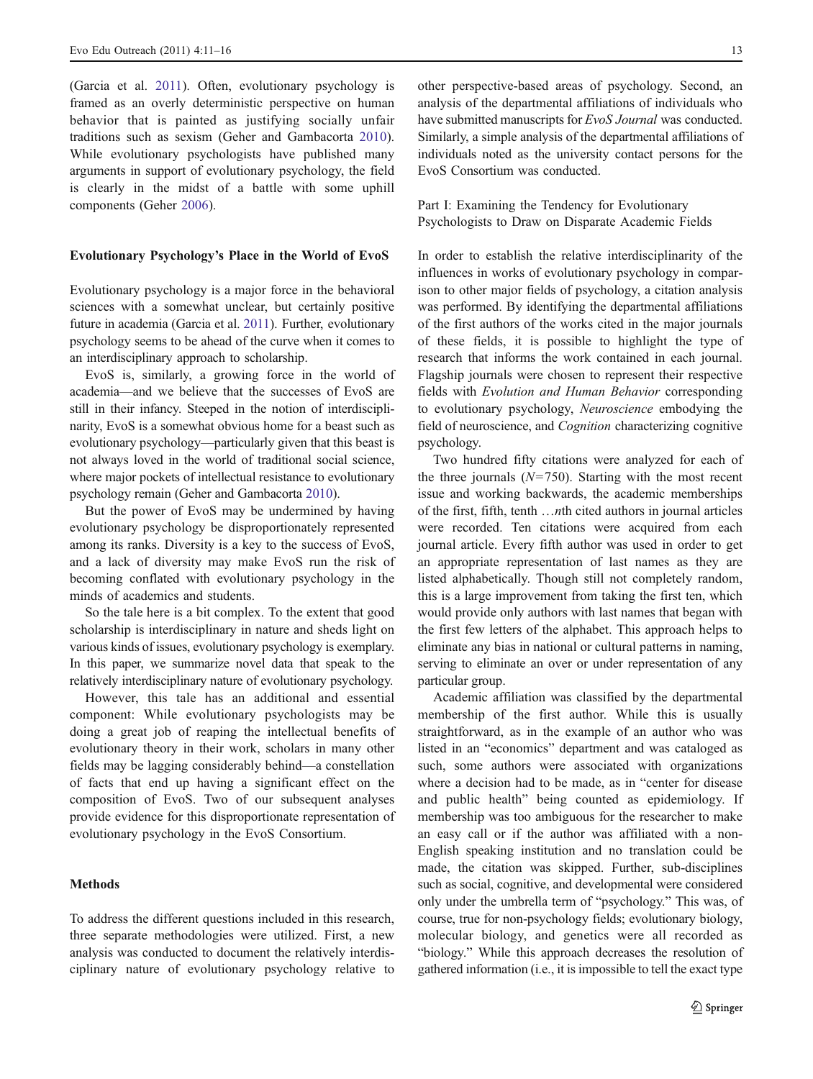(Garcia et al. [2011\)](#page-5-0). Often, evolutionary psychology is framed as an overly deterministic perspective on human behavior that is painted as justifying socially unfair traditions such as sexism (Geher and Gambacorta [2010](#page-5-0)). While evolutionary psychologists have published many arguments in support of evolutionary psychology, the field is clearly in the midst of a battle with some uphill components (Geher [2006\)](#page-5-0).

#### Evolutionary Psychology's Place in the World of EvoS

Evolutionary psychology is a major force in the behavioral sciences with a somewhat unclear, but certainly positive future in academia (Garcia et al. [2011\)](#page-5-0). Further, evolutionary psychology seems to be ahead of the curve when it comes to an interdisciplinary approach to scholarship.

EvoS is, similarly, a growing force in the world of academia—and we believe that the successes of EvoS are still in their infancy. Steeped in the notion of interdisciplinarity, EvoS is a somewhat obvious home for a beast such as evolutionary psychology—particularly given that this beast is not always loved in the world of traditional social science, where major pockets of intellectual resistance to evolutionary psychology remain (Geher and Gambacorta [2010\)](#page-5-0).

But the power of EvoS may be undermined by having evolutionary psychology be disproportionately represented among its ranks. Diversity is a key to the success of EvoS, and a lack of diversity may make EvoS run the risk of becoming conflated with evolutionary psychology in the minds of academics and students.

So the tale here is a bit complex. To the extent that good scholarship is interdisciplinary in nature and sheds light on various kinds of issues, evolutionary psychology is exemplary. In this paper, we summarize novel data that speak to the relatively interdisciplinary nature of evolutionary psychology.

However, this tale has an additional and essential component: While evolutionary psychologists may be doing a great job of reaping the intellectual benefits of evolutionary theory in their work, scholars in many other fields may be lagging considerably behind—a constellation of facts that end up having a significant effect on the composition of EvoS. Two of our subsequent analyses provide evidence for this disproportionate representation of evolutionary psychology in the EvoS Consortium.

# Methods

To address the different questions included in this research, three separate methodologies were utilized. First, a new analysis was conducted to document the relatively interdisciplinary nature of evolutionary psychology relative to other perspective-based areas of psychology. Second, an analysis of the departmental affiliations of individuals who have submitted manuscripts for EvoS Journal was conducted. Similarly, a simple analysis of the departmental affiliations of individuals noted as the university contact persons for the EvoS Consortium was conducted.

Part I: Examining the Tendency for Evolutionary Psychologists to Draw on Disparate Academic Fields

In order to establish the relative interdisciplinarity of the influences in works of evolutionary psychology in comparison to other major fields of psychology, a citation analysis was performed. By identifying the departmental affiliations of the first authors of the works cited in the major journals of these fields, it is possible to highlight the type of research that informs the work contained in each journal. Flagship journals were chosen to represent their respective fields with Evolution and Human Behavior corresponding to evolutionary psychology, Neuroscience embodying the field of neuroscience, and Cognition characterizing cognitive psychology.

Two hundred fifty citations were analyzed for each of the three journals  $(N=750)$ . Starting with the most recent issue and working backwards, the academic memberships of the first, fifth, tenth …nth cited authors in journal articles were recorded. Ten citations were acquired from each journal article. Every fifth author was used in order to get an appropriate representation of last names as they are listed alphabetically. Though still not completely random, this is a large improvement from taking the first ten, which would provide only authors with last names that began with the first few letters of the alphabet. This approach helps to eliminate any bias in national or cultural patterns in naming, serving to eliminate an over or under representation of any particular group.

Academic affiliation was classified by the departmental membership of the first author. While this is usually straightforward, as in the example of an author who was listed in an "economics" department and was cataloged as such, some authors were associated with organizations where a decision had to be made, as in "center for disease and public health" being counted as epidemiology. If membership was too ambiguous for the researcher to make an easy call or if the author was affiliated with a non-English speaking institution and no translation could be made, the citation was skipped. Further, sub-disciplines such as social, cognitive, and developmental were considered only under the umbrella term of "psychology." This was, of course, true for non-psychology fields; evolutionary biology, molecular biology, and genetics were all recorded as "biology." While this approach decreases the resolution of gathered information (i.e., it is impossible to tell the exact type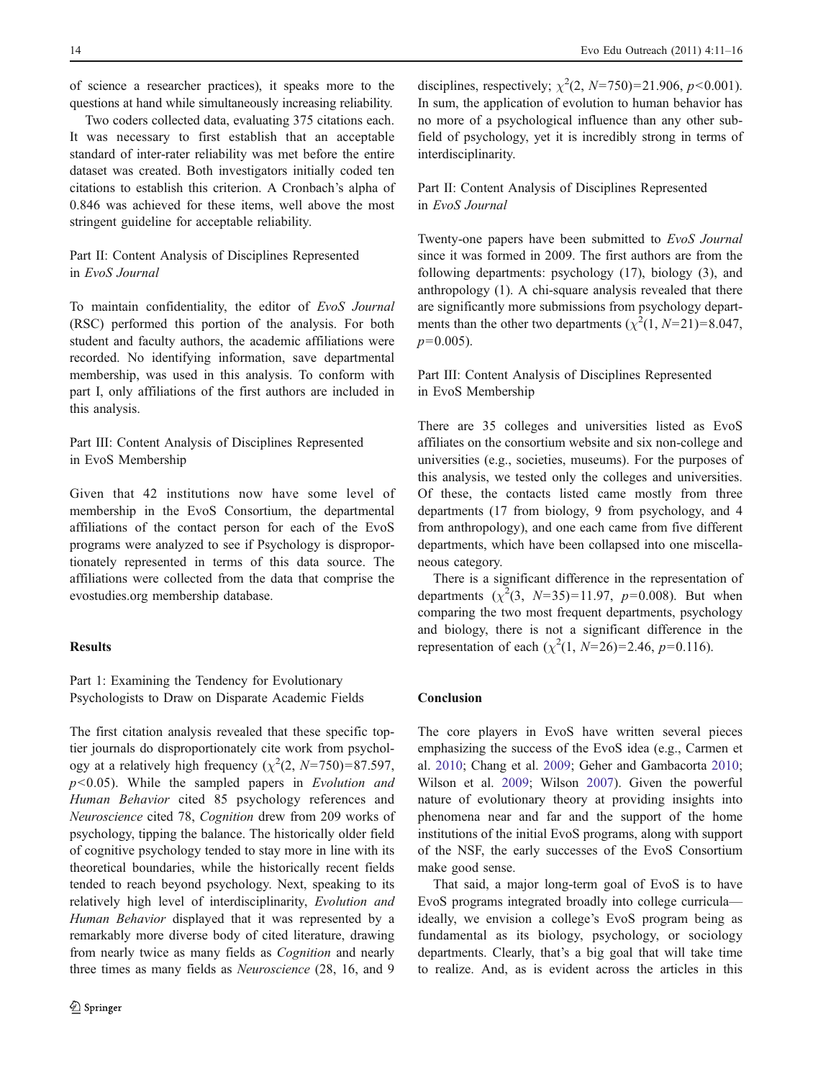of science a researcher practices), it speaks more to the questions at hand while simultaneously increasing reliability.

Two coders collected data, evaluating 375 citations each. It was necessary to first establish that an acceptable standard of inter-rater reliability was met before the entire dataset was created. Both investigators initially coded ten citations to establish this criterion. A Cronbach's alpha of 0.846 was achieved for these items, well above the most stringent guideline for acceptable reliability.

# Part II: Content Analysis of Disciplines Represented in EvoS Journal

To maintain confidentiality, the editor of EvoS Journal (RSC) performed this portion of the analysis. For both student and faculty authors, the academic affiliations were recorded. No identifying information, save departmental membership, was used in this analysis. To conform with part I, only affiliations of the first authors are included in this analysis.

Part III: Content Analysis of Disciplines Represented in EvoS Membership

Given that 42 institutions now have some level of membership in the EvoS Consortium, the departmental affiliations of the contact person for each of the EvoS programs were analyzed to see if Psychology is disproportionately represented in terms of this data source. The affiliations were collected from the data that comprise the evostudies.org membership database.

#### **Results**

Part 1: Examining the Tendency for Evolutionary Psychologists to Draw on Disparate Academic Fields

The first citation analysis revealed that these specific toptier journals do disproportionately cite work from psychology at a relatively high frequency  $(\chi^2(2, N=750)=87.597,$  $p$ <0.05). While the sampled papers in Evolution and Human Behavior cited 85 psychology references and Neuroscience cited 78, Cognition drew from 209 works of psychology, tipping the balance. The historically older field of cognitive psychology tended to stay more in line with its theoretical boundaries, while the historically recent fields tended to reach beyond psychology. Next, speaking to its relatively high level of interdisciplinarity, Evolution and Human Behavior displayed that it was represented by a remarkably more diverse body of cited literature, drawing from nearly twice as many fields as *Cognition* and nearly three times as many fields as Neuroscience (28, 16, and 9

disciplines, respectively;  $\chi^2(2, N=750)=21.906, p<0.001$ ). In sum, the application of evolution to human behavior has no more of a psychological influence than any other subfield of psychology, yet it is incredibly strong in terms of interdisciplinarity.

Part II: Content Analysis of Disciplines Represented in EvoS Journal

Twenty-one papers have been submitted to EvoS Journal since it was formed in 2009. The first authors are from the following departments: psychology (17), biology (3), and anthropology (1). A chi-square analysis revealed that there are significantly more submissions from psychology departments than the other two departments  $(\chi^2(1, N=21)=8.047,$  $p=0.005$ ).

Part III: Content Analysis of Disciplines Represented in EvoS Membership

There are 35 colleges and universities listed as EvoS affiliates on the consortium website and six non-college and universities (e.g., societies, museums). For the purposes of this analysis, we tested only the colleges and universities. Of these, the contacts listed came mostly from three departments (17 from biology, 9 from psychology, and 4 from anthropology), and one each came from five different departments, which have been collapsed into one miscellaneous category.

There is a significant difference in the representation of departments  $(\chi^2(3, N=35)=11.97, p=0.008)$ . But when comparing the two most frequent departments, psychology and biology, there is not a significant difference in the representation of each  $(\chi^2(1, N=26)=2.46, p=0.116)$ .

# Conclusion

The core players in EvoS have written several pieces emphasizing the success of the EvoS idea (e.g., Carmen et al. [2010](#page-5-0); Chang et al. [2009](#page-5-0); Geher and Gambacorta [2010;](#page-5-0) Wilson et al. [2009;](#page-5-0) Wilson [2007\)](#page-5-0). Given the powerful nature of evolutionary theory at providing insights into phenomena near and far and the support of the home institutions of the initial EvoS programs, along with support of the NSF, the early successes of the EvoS Consortium make good sense.

That said, a major long-term goal of EvoS is to have EvoS programs integrated broadly into college curricula ideally, we envision a college's EvoS program being as fundamental as its biology, psychology, or sociology departments. Clearly, that's a big goal that will take time to realize. And, as is evident across the articles in this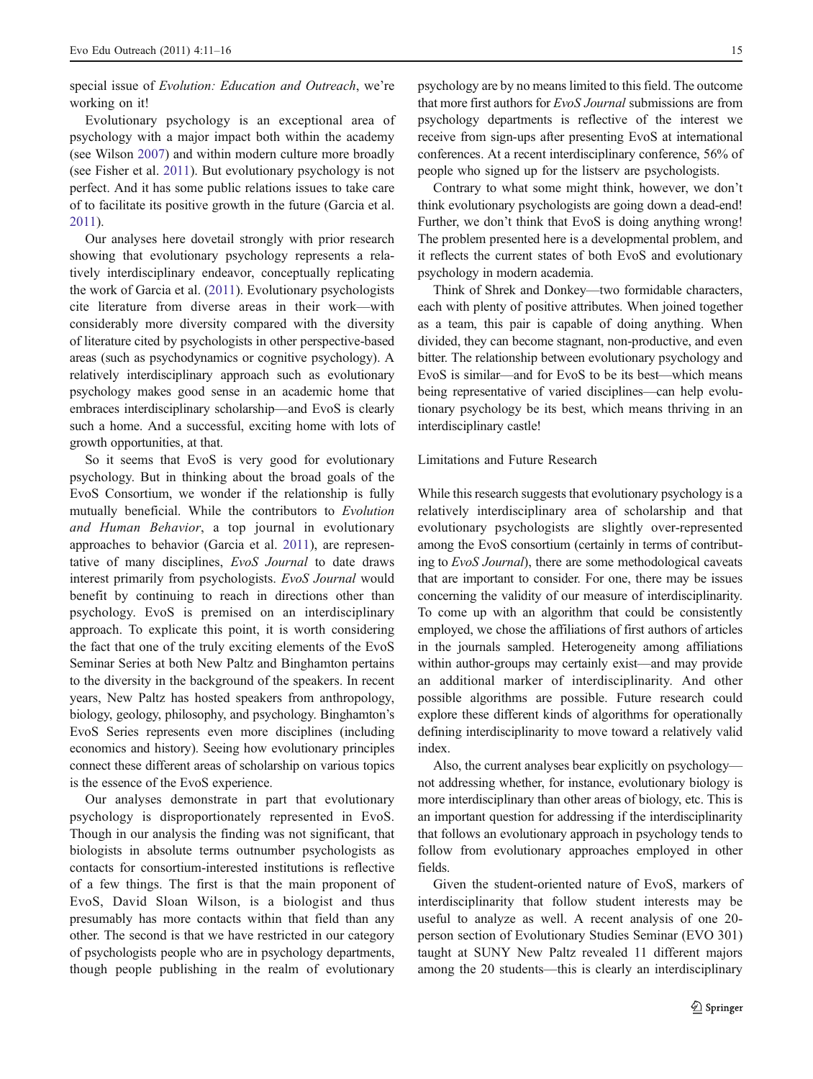special issue of *Evolution: Education and Outreach*, we're working on it!

Evolutionary psychology is an exceptional area of psychology with a major impact both within the academy (see Wilson [2007\)](#page-5-0) and within modern culture more broadly (see Fisher et al. [2011](#page-5-0)). But evolutionary psychology is not perfect. And it has some public relations issues to take care of to facilitate its positive growth in the future (Garcia et al. [2011\)](#page-5-0).

Our analyses here dovetail strongly with prior research showing that evolutionary psychology represents a relatively interdisciplinary endeavor, conceptually replicating the work of Garcia et al. ([2011\)](#page-5-0). Evolutionary psychologists cite literature from diverse areas in their work—with considerably more diversity compared with the diversity of literature cited by psychologists in other perspective-based areas (such as psychodynamics or cognitive psychology). A relatively interdisciplinary approach such as evolutionary psychology makes good sense in an academic home that embraces interdisciplinary scholarship—and EvoS is clearly such a home. And a successful, exciting home with lots of growth opportunities, at that.

So it seems that EvoS is very good for evolutionary psychology. But in thinking about the broad goals of the EvoS Consortium, we wonder if the relationship is fully mutually beneficial. While the contributors to Evolution and Human Behavior, a top journal in evolutionary approaches to behavior (Garcia et al. [2011](#page-5-0)), are representative of many disciplines, EvoS Journal to date draws interest primarily from psychologists. EvoS Journal would benefit by continuing to reach in directions other than psychology. EvoS is premised on an interdisciplinary approach. To explicate this point, it is worth considering the fact that one of the truly exciting elements of the EvoS Seminar Series at both New Paltz and Binghamton pertains to the diversity in the background of the speakers. In recent years, New Paltz has hosted speakers from anthropology, biology, geology, philosophy, and psychology. Binghamton's EvoS Series represents even more disciplines (including economics and history). Seeing how evolutionary principles connect these different areas of scholarship on various topics is the essence of the EvoS experience.

Our analyses demonstrate in part that evolutionary psychology is disproportionately represented in EvoS. Though in our analysis the finding was not significant, that biologists in absolute terms outnumber psychologists as contacts for consortium-interested institutions is reflective of a few things. The first is that the main proponent of EvoS, David Sloan Wilson, is a biologist and thus presumably has more contacts within that field than any other. The second is that we have restricted in our category of psychologists people who are in psychology departments, though people publishing in the realm of evolutionary

psychology are by no means limited to this field. The outcome that more first authors for EvoS Journal submissions are from psychology departments is reflective of the interest we receive from sign-ups after presenting EvoS at international conferences. At a recent interdisciplinary conference, 56% of people who signed up for the listserv are psychologists.

Contrary to what some might think, however, we don't think evolutionary psychologists are going down a dead-end! Further, we don't think that EvoS is doing anything wrong! The problem presented here is a developmental problem, and it reflects the current states of both EvoS and evolutionary psychology in modern academia.

Think of Shrek and Donkey—two formidable characters, each with plenty of positive attributes. When joined together as a team, this pair is capable of doing anything. When divided, they can become stagnant, non-productive, and even bitter. The relationship between evolutionary psychology and EvoS is similar—and for EvoS to be its best—which means being representative of varied disciplines—can help evolutionary psychology be its best, which means thriving in an interdisciplinary castle!

# Limitations and Future Research

While this research suggests that evolutionary psychology is a relatively interdisciplinary area of scholarship and that evolutionary psychologists are slightly over-represented among the EvoS consortium (certainly in terms of contributing to EvoS Journal), there are some methodological caveats that are important to consider. For one, there may be issues concerning the validity of our measure of interdisciplinarity. To come up with an algorithm that could be consistently employed, we chose the affiliations of first authors of articles in the journals sampled. Heterogeneity among affiliations within author-groups may certainly exist—and may provide an additional marker of interdisciplinarity. And other possible algorithms are possible. Future research could explore these different kinds of algorithms for operationally defining interdisciplinarity to move toward a relatively valid index.

Also, the current analyses bear explicitly on psychology not addressing whether, for instance, evolutionary biology is more interdisciplinary than other areas of biology, etc. This is an important question for addressing if the interdisciplinarity that follows an evolutionary approach in psychology tends to follow from evolutionary approaches employed in other fields.

Given the student-oriented nature of EvoS, markers of interdisciplinarity that follow student interests may be useful to analyze as well. A recent analysis of one 20 person section of Evolutionary Studies Seminar (EVO 301) taught at SUNY New Paltz revealed 11 different majors among the 20 students—this is clearly an interdisciplinary